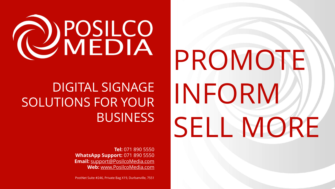

## DIGITAL SIGNAGE SOLUTIONS FOR YOUR **BUSINESS**

**Tel:** 071 890 5550 **WhatsApp Support:** 071 890 5550 **Email:** [support@PosilcoMedia.com](mailto:support@PosilcoMedia.com) **Web:** [www.PosilcoMedia.com](https://www.posilcomedia.com/) 

PostNet Suite #246, Private Bag X19, Durbanville, 7551

PROMOTE INFORM SELL MORE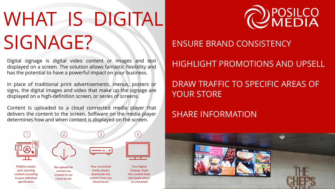# WHAT IS DIGITAL SIGNAGE? ENSURE BRAND CONSISTENCY

Digital signage is digital video content or images and text displayed on a screen. The solution allows fantastic flexibility and has the potential to have a powerful impact on your business.

In place of traditional print advertisements, menus, posters or signs, the digital images and video that make up the signage are displayed on a high-definition screen, or series of screens.

Content is uploaded to a cloud connected media player that delivers the content to the screen. Software on the media player determines how and when content is displayed on the screen.





### HIGHLIGHT PROMOTIONS AND UPSELL

### DRAW TRAFFIC TO SPECIFIC AREAS OF YOUR STORE

## SHARE INFORMATION

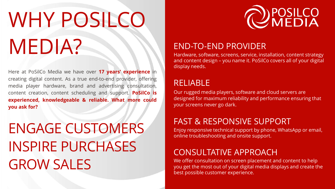# WHY POSILCO MEDIA?

Here at PoSilCo Media we have over **17 years' experience** in creating digital content. As a true end-to-end provider, offering media player hardware, brand and advertising consultation, content creation, content scheduling and support. **PoSilCo is experienced, knowledgeable & reliable. What more could you ask for?**

## ENGAGE CUSTOMERS INSPIRE PURCHASES GROW SALES



### END-TO-END PROVIDER

Hardware, software, screens, service, installation, content strategy and content design – you name it. PoSilCo covers all of your digital display needs.

### RELIABLE

Our rugged media players, software and cloud servers are designed for maximum reliability and performance ensuring that your screens never go dark.

### FAST & RESPONSIVE SUPPORT

Enjoy responsive technical support by phone, WhatsApp or email, online troubleshooting and onsite support.

## CONSULTATIVE APPROACH

We offer consultation on screen placement and content to help you get the most out of your digital media displays and create the best possible customer experience.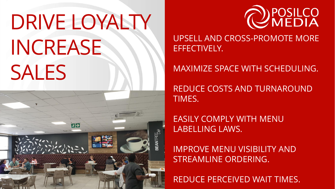# DRIVE LOYALTY INCREASE SALES





UPSELL AND CROSS-PROMOTE MORE EFFECTIVELY.

## MAXIMIZE SPACE WITH SCHEDULING.

REDUCE COSTS AND TURNAROUND TIMES.

EASILY COMPLY WITH MENU LABELLING LAWS.

IMPROVE MENU VISIBILITY AND STREAMLINE ORDERING.

REDUCE PERCEIVED WAIT TIMES.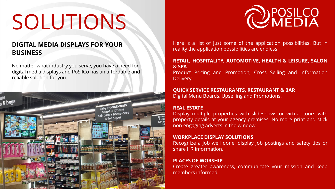## SOLUTIONS

### **DIGITAL MEDIA DISPLAYS FOR YOUR BUSINESS**

No matter what industry you serve, you have a need for digital media displays and PoSilCo has an affordable and reliable solution for you.





Here is a list of just some of the application possibilities. But in reality the application possibilities are endless.

### **RETAIL, HOSPITALITY, AUTOMOTIVE, HEALTH & LEISURE, SALON & SPA**

Product Pricing and Promotion, Cross Selling and Information Delivery.

#### **QUICK SERVICE RESTAURANTS, RESTAURANT & BAR**

Digital Menu Boards, Upselling and Promotions.

### **REAL ESTATE**

Display multiple properties with slideshows or virtual tours with property details at your agency premises. No more print and stick non engaging adverts in the window.

### **WORKPLACE DISPLAY SOLUTIONS**

Recognize a job well done, display job postings and safety tips or share HR information.

### **PLACES OF WORSHIP**

Create greater awareness, communicate your mission and keep members informed.